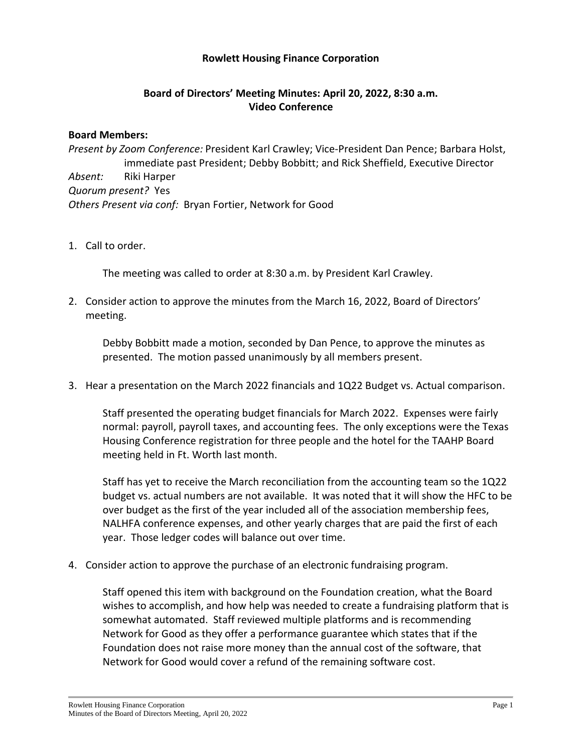## **Rowlett Housing Finance Corporation**

## **Board of Directors' Meeting Minutes: April 20, 2022, 8:30 a.m. Video Conference**

## **Board Members:**

*Present by Zoom Conference:* President Karl Crawley; Vice-President Dan Pence; Barbara Holst, immediate past President; Debby Bobbitt; and Rick Sheffield, Executive Director *Absent:* Riki Harper *Quorum present?* Yes *Others Present via conf:* Bryan Fortier, Network for Good

1. Call to order.

The meeting was called to order at 8:30 a.m. by President Karl Crawley.

2. Consider action to approve the minutes from the March 16, 2022, Board of Directors' meeting.

Debby Bobbitt made a motion, seconded by Dan Pence, to approve the minutes as presented. The motion passed unanimously by all members present.

3. Hear a presentation on the March 2022 financials and 1Q22 Budget vs. Actual comparison.

Staff presented the operating budget financials for March 2022. Expenses were fairly normal: payroll, payroll taxes, and accounting fees. The only exceptions were the Texas Housing Conference registration for three people and the hotel for the TAAHP Board meeting held in Ft. Worth last month.

Staff has yet to receive the March reconciliation from the accounting team so the 1Q22 budget vs. actual numbers are not available. It was noted that it will show the HFC to be over budget as the first of the year included all of the association membership fees, NALHFA conference expenses, and other yearly charges that are paid the first of each year. Those ledger codes will balance out over time.

4. Consider action to approve the purchase of an electronic fundraising program.

Staff opened this item with background on the Foundation creation, what the Board wishes to accomplish, and how help was needed to create a fundraising platform that is somewhat automated. Staff reviewed multiple platforms and is recommending Network for Good as they offer a performance guarantee which states that if the Foundation does not raise more money than the annual cost of the software, that Network for Good would cover a refund of the remaining software cost.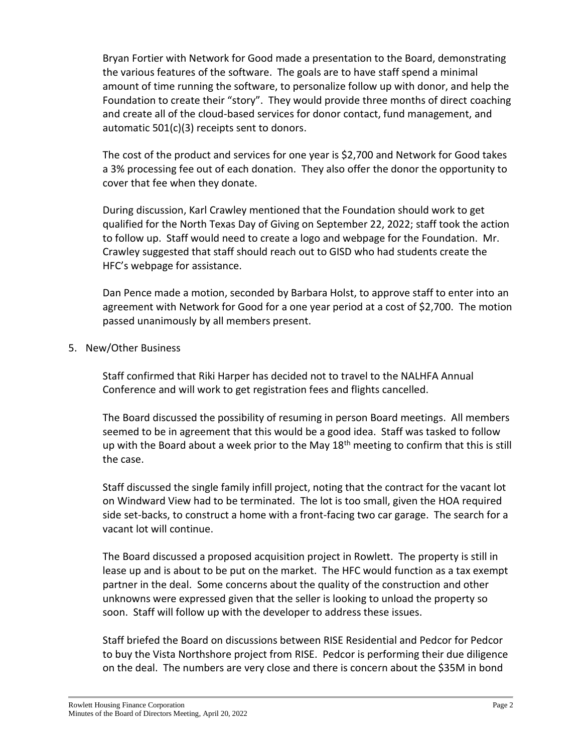Bryan Fortier with Network for Good made a presentation to the Board, demonstrating the various features of the software. The goals are to have staff spend a minimal amount of time running the software, to personalize follow up with donor, and help the Foundation to create their "story". They would provide three months of direct coaching and create all of the cloud-based services for donor contact, fund management, and automatic 501(c)(3) receipts sent to donors.

The cost of the product and services for one year is \$2,700 and Network for Good takes a 3% processing fee out of each donation. They also offer the donor the opportunity to cover that fee when they donate.

During discussion, Karl Crawley mentioned that the Foundation should work to get qualified for the North Texas Day of Giving on September 22, 2022; staff took the action to follow up. Staff would need to create a logo and webpage for the Foundation. Mr. Crawley suggested that staff should reach out to GISD who had students create the HFC's webpage for assistance.

Dan Pence made a motion, seconded by Barbara Holst, to approve staff to enter into an agreement with Network for Good for a one year period at a cost of \$2,700. The motion passed unanimously by all members present.

## 5. New/Other Business

Staff confirmed that Riki Harper has decided not to travel to the NALHFA Annual Conference and will work to get registration fees and flights cancelled.

The Board discussed the possibility of resuming in person Board meetings. All members seemed to be in agreement that this would be a good idea. Staff was tasked to follow up with the Board about a week prior to the May  $18<sup>th</sup>$  meeting to confirm that this is still the case.

Staff discussed the single family infill project, noting that the contract for the vacant lot on Windward View had to be terminated. The lot is too small, given the HOA required side set-backs, to construct a home with a front-facing two car garage. The search for a vacant lot will continue.

The Board discussed a proposed acquisition project in Rowlett. The property is still in lease up and is about to be put on the market. The HFC would function as a tax exempt partner in the deal. Some concerns about the quality of the construction and other unknowns were expressed given that the seller is looking to unload the property so soon. Staff will follow up with the developer to address these issues.

Staff briefed the Board on discussions between RISE Residential and Pedcor for Pedcor to buy the Vista Northshore project from RISE. Pedcor is performing their due diligence on the deal. The numbers are very close and there is concern about the \$35M in bond